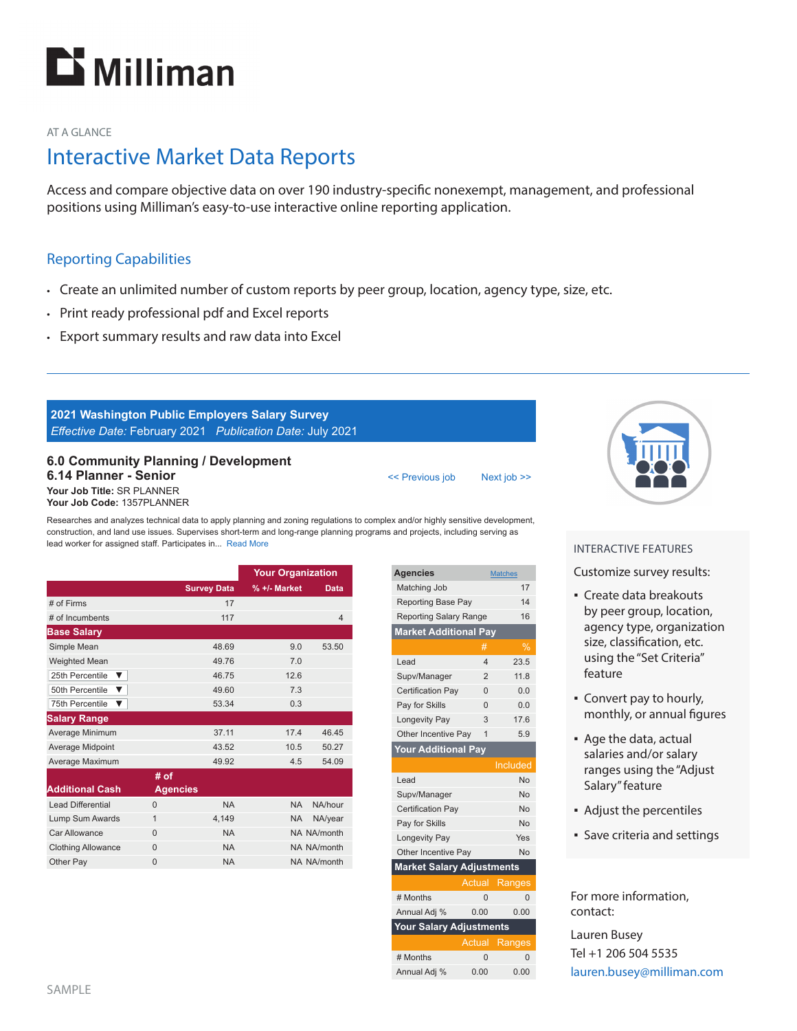

### AT A GLANCE

# Interactive Market Data Reports

Access and compare objective data on over 190 industry-specific nonexempt, management, and professional positions using Milliman's easy-to-use interactive online reporting application.

## Reporting Capabilities

- Create an unlimited number of custom reports by peer group, location, agency type, size, etc.
- Print ready professional pdf and Excel reports
- Export summary results and raw data into Excel

## **2021 Washington Public Employers Salary Survey** *Eff ective Date:* February 2021 *Publication Date:* July 2021

#### **6.0 Community Planning / Development 6.14 Planner - Senior Your Job Title:** SR PLANNER **Your Job Code:** 1357PLANNER

Researches and analyzes technical data to apply planning and zoning regulations to complex and/or highly sensitive development, construction, and land use issues. Supervises short-term and long-range planning programs and projects, including serving as lead worker for assigned staff. Participates in... Read More

|                           |                   |                    | <b>Your Organization</b> |                |
|---------------------------|-------------------|--------------------|--------------------------|----------------|
|                           |                   | <b>Survey Data</b> | $% +/-$ Market           | <b>Data</b>    |
| # of Firms                |                   | 17                 |                          |                |
| # of Incumbents           |                   | 117                |                          | $\overline{4}$ |
| <b>Base Salary</b>        |                   |                    |                          |                |
| Simple Mean               |                   | 48.69              | 9.0                      | 53.50          |
| <b>Weighted Mean</b>      |                   | 49.76              | 7.0                      |                |
| 25th Percentile<br>▼      |                   | 46.75              | 126                      |                |
| 50th Percentile<br>▼      |                   | 49.60              | 7.3                      |                |
| 75th Percentile<br>▼      |                   | 53.34              | 0.3                      |                |
| <b>Salary Range</b>       |                   |                    |                          |                |
| Average Minimum           |                   | 37.11              | 17.4                     | 46.45          |
| Average Midpoint          |                   | 43.52              | 10.5                     | 50.27          |
| Average Maximum           |                   | 49.92              | 4.5                      | 54.09          |
|                           | # $\overline{of}$ |                    |                          |                |
| <b>Additional Cash</b>    | <b>Agencies</b>   |                    |                          |                |
| <b>Lead Differential</b>  | $\Omega$          | <b>NA</b>          | <b>NA</b>                | NA/hour        |
| Lump Sum Awards           | 1                 | 4.149              | <b>NA</b>                | NA/year        |
| Car Allowance             | $\Omega$          | <b>NA</b>          |                          | NA NA/month    |
| <b>Clothing Allowance</b> | $\Omega$          | <b>NA</b>          |                          | NA NA/month    |
| Other Pay                 | $\Omega$          | <b>NA</b>          |                          | NA NA/month    |

| <b>Agencies</b>                  |                | <b>Matches</b> |  |  |
|----------------------------------|----------------|----------------|--|--|
| Matching Job                     |                | 17             |  |  |
| <b>Reporting Base Pay</b>        |                | 14             |  |  |
| <b>Reporting Salary Range</b>    |                | 16             |  |  |
| <b>Market Additional Pay</b>     |                |                |  |  |
|                                  | #              | %              |  |  |
| I ead                            | $\overline{4}$ | 23.5           |  |  |
| Supv/Manager                     | $\mathfrak{p}$ | 11.8           |  |  |
| <b>Certification Pay</b>         | $\Omega$       | 0.0            |  |  |
| Pay for Skills                   | $\Omega$       | 0.0            |  |  |
| Longevity Pay                    | 3              | 17.6           |  |  |
| Other Incentive Pay              | 1              | 5.9            |  |  |
| <b>Your Additional Pay</b>       |                |                |  |  |
|                                  |                | Included       |  |  |
| Lead                             |                | No             |  |  |
| Supv/Manager                     |                | No             |  |  |
| Certification Pay                |                | No             |  |  |
| Pay for Skills                   |                | No             |  |  |
| Longevity Pay                    |                | Yes            |  |  |
| Other Incentive Pay              |                | No             |  |  |
| <b>Market Salary Adjustments</b> |                |                |  |  |
|                                  | Actual         | Ranges         |  |  |
| # Months                         | $\overline{0}$ | $\Omega$       |  |  |

<< Previous job Next job >>

| Annual Adj %                   | 0.00 | 0.00                 |  |  |  |
|--------------------------------|------|----------------------|--|--|--|
| <b>Your Salary Adjustments</b> |      |                      |  |  |  |
|                                |      | <b>Actual Ranges</b> |  |  |  |
| # Months                       | U    |                      |  |  |  |
| Annual Adj %                   | 0.00 | 0.00                 |  |  |  |



### INTERACTIVE FEATURES

Customize survey results:

- Create data breakouts by peer group, location, agency type, organization size, classification, etc. using the "Set Criteria" feature
- Convert pay to hourly, monthly, or annual figures
- Age the data, actual salaries and/or salary ranges using the "Adjust Salary" feature
- Adjust the percentiles
- Save criteria and settings

For more information, contact:

Lauren Busey Tel +1 206 504 5535 lauren.busey@milliman.com